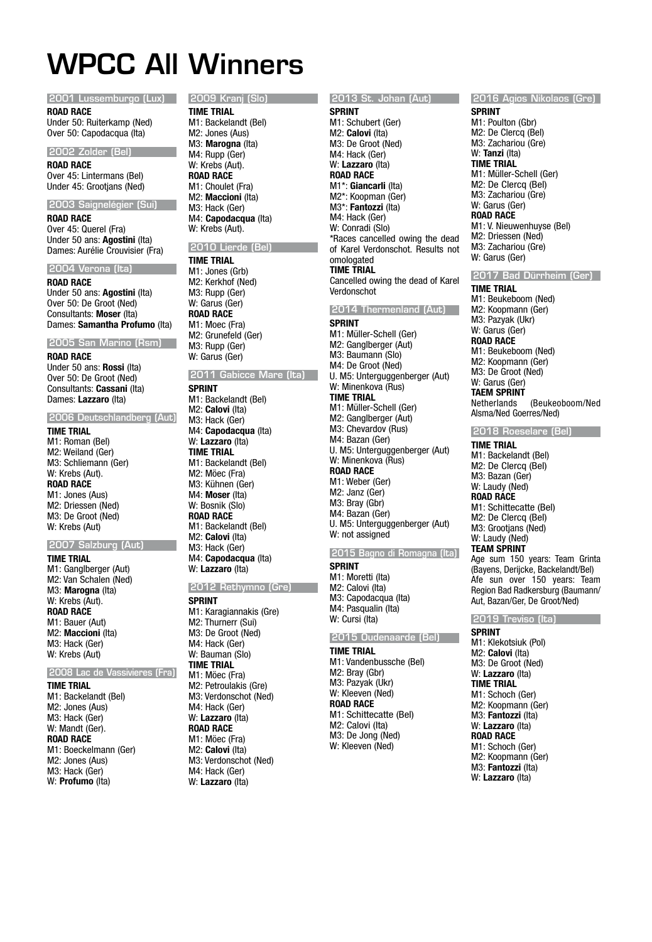# WPCC All Winners

## 2001 Lussemburgo (Lux)

**ROAD RACE**

Under 50: Ruiterkamp (Ned) Over 50: Capodacqua (Ita)

## 2002 Zolder (Bel)

**ROAD RACE** Over 45: Lintermans (Bel) Under 45: Grootjans (Ned)

## 2003 Saignelégier (Sui)

**ROAD RACE** Over 45: Querel (Fra) Under 50 ans: **Agostini** (Ita) Dames: Aurélie Crouvisier (Fra)

## 2004 Verona (Ita)

**ROAD RACE** Under 50 ans: **Agostini** (Ita) Over 50: De Groot (Ned) Consultants: **Moser** (Ita) Dames: **Samantha Profumo** (Ita)

## 2005 San Marino (Rsm)

**ROAD RACE** Under 50 ans: **Rossi** (Ita) Over 50: De Groot (Ned) Consultants: **Cassani** (Ita) Dames: **Lazzaro** (Ita)

## 2006 Deutschlandberg (Aut)

**TIME TRIAL** M1: Roman (Bel) M2: Weiland (Ger) M3: Schliemann (Ger) W: Krebs (Aut). **ROAD RACE** M1: Jones (Aus) M2: Driessen (Ned) M3: De Groot (Ned) W: Krebs (Aut)

## 2007 Salzburg (Aut)

**TIME TRIAL** M1: Ganglberger (Aut) M2: Van Schalen (Ned) M3: **Marogna** (Ita) W: Krebs (Aut). **ROAD RACE** M1: Bauer (Aut) M2: **Maccioni** (Ita) M3: Hack (Ger) W: Krebs (Aut)

## 2008 Lac de Vassivieres (Fra)

**TIME TRIAL**

M1: Backelandt (Bel) M2: Jones (Aus) M3: Hack (Ger) W: Mandt (Ger). **ROAD RACE** M1: Boeckelmann (Ger) M2: Jones (Aus) M3: Hack (Ger) W: **Profumo** (Ita)

#### 2009 Kranj (Slo) **TIME TRIAL**

M1: Backelandt (Bel) M2: Jones (Aus) M3: **Marogna** (Ita) M4: Rupp (Ger) W: Krebs (Aut). **ROAD RACE** M1: Choulet (Fra) M2: **Maccioni** (Ita) M3: Hack (Ger) M4: **Capodacqua** (Ita) W: Krebs (Aut).

## 2010 Lierde (Bel) **TIME TRIAL**

M1: Jones (Grb) M2: Kerkhof (Ned) M3: Rupp (Ger) W: Garus (Ger) **ROAD RACE** M<sub>1</sub>: Moec (Fra) M2: Grunefeld (Ger) M3: Rupp (Ger) W: Garus (Ger)

## 2011 Gabicce Mare (Ita)

**SPRINT** M1: Backelandt (Bel) M2: **Calovi** (Ita) M3: Hack (Ger) M4: **Capodacqua** (Ita) W: **Lazzaro** (Ita) **TIME TRIAL** M1: Backelandt (Bel) M2: Möec (Fra) M3: Kühnen (Ger) M4: **Moser** (Ita) W: Bosnik (Slo) **ROAD RACE** M1: Backelandt (Bel) M2: **Calovi** (Ita) M3: Hack (Ger) M4: **Capodacqua** (Ita) W: **Lazzaro** (Ita)

## 2012 Rethymno (Gre) **SPRINT**

M1: Karagiannakis (Gre) M2: Thurnerr (Sui) M3: De Groot (Ned) M4: Hack (Ger) W: Bauman (Slo) **TIME TRIAL** M1: Möec (Fra) M2: Petroulakis (Gre) M3: Verdonschot (Ned) M4: Hack (Ger) W: **Lazzaro** (Ita) **ROAD RACE** M1: Möec (Fra) M2: **Calovi** (Ita) M3: Verdonschot (Ned) M4: Hack (Ger) W: **Lazzaro** (Ita)

## 2013 St. Johan (Aut) **SPRINT**

M1: Schubert (Ger) M2: **Calovi** (Ita) M3: De Groot (Ned) M4: Hack (Ger) W: **Lazzaro** (Ita) **ROAD RACE** M1\*: **Giancarli** (Ita) M2\*: Koopman (Ger) M3\*: **Fantozzi** (Ita) M4: Hack (Ger) W: Conradi (Slo) \*Races cancelled owing the dead of Karel Verdonschot. Results not omologated **TIME TRIAL** Cancelled owing the dead of Karel Verdonschot

## 2014 Thermenland (Aut)

**SPRINT** M1: Müller-Schell (Ger) M2: Ganglberger (Aut) M3: Baumann (Slo) M4: De Groot (Ned) U. M5: Unterguggenberger (Aut) W: Minenkova (Rus) **TIME TRIAL** M1: Müller-Schell (Ger) M2: Ganglberger (Aut) M3: Chevardov (Rus) M4: Bazan (Ger) U. M5: Unterguggenberger (Aut) W: Minenkova (Rus) **ROAD RACE** M1: Weber (Ger) M2: Janz (Ger) M3: Bray (Gbr) M4: Bazan (Ger) U. M5: Unterguggenberger (Aut) W: not assigned

## 2015 Bagno di Romagna (Ita)

**SPRINT** M1: Moretti (Ita) M2: Calovi (Ita) M3: Capodacqua (Ita) M4: Pasqualin (Ita) W: Cursi (Ita)

## 2015 Oudenaarde (Bel)

**TIME TRIAL** M1: Vandenbussche (Bel) M2: Bray (Gbr) M3: Pazyak (Ukr) W: Kleeven (Ned) **ROAD RACE** M1: Schittecatte (Bel) M2: Calovi (Ita) M3: De Jong (Ned) W: Kleeven (Ned)

## 2016 Agios Nikolaos (Gre)

**SPRINT** M1: Poulton (Gbr) M2: De Clercq (Bel) M3: Zachariou (Gre) W: **Tanzi** (Ita) **TIME TRIAL** M1: Müller-Schell (Ger) M2: De Clercq (Bel) M3: Zachariou (Gre) W: Garus (Ger) **ROAD RACE** M1: V. Nieuwenhuyse (Bel) M2: Driessen (Ned) M3: Zachariou (Gre) W: Garus (Ger)

## 2017 Bad Dürrheim (Ger)

**TIME TRIAL** M1: Beukeboom (Ned) M2: Koopmann (Ger) M3: Pazyak (Ukr) W: Garus (Ger) **ROAD RACE** M1: Beukeboom (Ned) M2: Koopmann (Ger) M3: De Groot (Ned) W: Garus (Ger) **TAEM SPRINT**<br>Netherlands (Beukeoboom/Ned Alsma/Ned Goerres/Ned)

## 2018 Roeselare (Bel)

**TIME TRIAL** M1: Backelandt (Bel) M2: De Clercq (Bel) M3: Bazan (Ger) W: Laudy (Ned) **ROAD RACE** M1: Schittecatte (Bel) M2: De Clercq (Bel) M3: Grootjans (Ned) W: Laudy (Ned) **TEAM SPRINT** Age sum 150 years: Team Grinta (Bayens, Derijcke, Backelandt/Bel) Afe sun over 150 years: Team Region Bad Radkersburg (Baumann/

#### 2019 Treviso (Ita)

Aut, Bazan/Ger, De Groot/Ned)

**SPRINT** M1: Klekotsiuk (Pol) M2: **Calovi** (Ita) M3: De Groot (Ned) W: **Lazzaro** (Ita) **TIME TRIAL** M1: Schoch (Ger) M2: Koopmann (Ger) M3: **Fantozzi** (Ita) W: **Lazzaro** (Ita) **ROAD RACE** M1: Schoch (Ger) M2: Koopmann (Ger) M3: **Fantozzi** (Ita) W: **Lazzaro** (Ita)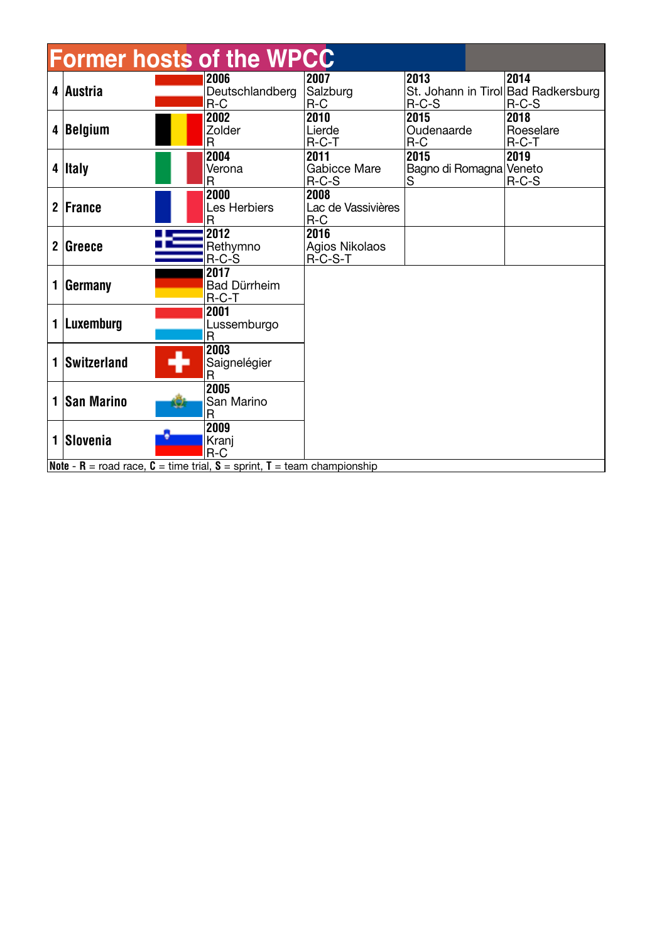| <b>Former hosts of the WPCC</b> |                                                                                      |    |                                  |                                     |                                                        |                              |  |  |  |  |
|---------------------------------|--------------------------------------------------------------------------------------|----|----------------------------------|-------------------------------------|--------------------------------------------------------|------------------------------|--|--|--|--|
|                                 | 4 Austria                                                                            |    | 2006<br>Deutschlandberg<br>$R-C$ | 2007<br>Salzburg<br>$R-C$           | 2013<br>St. Johann in Tirol Bad Radkersburg<br>$R-C-S$ | 2014<br>$R-C-S$              |  |  |  |  |
|                                 | 4 Belgium                                                                            |    | 2002<br><b>Zolder</b><br>R       | 2010<br>Lierde<br>$R-C-T$           | 2015<br>Oudenaarde<br>$R-C$                            | 2018<br>Roeselare<br>$R-C-T$ |  |  |  |  |
|                                 | 4 Italy                                                                              |    | 2004<br>Verona<br>R              | 2011<br>Gabicce Mare<br>$R-C-S$     | 2015<br>Bagno di Romagna<br>S                          | 2019<br>Veneto<br>$R-C-S$    |  |  |  |  |
|                                 | 2 France                                                                             |    | 2000<br>Les Herbiers<br>R        | 2008<br>Lac de Vassivières<br>$R-C$ |                                                        |                              |  |  |  |  |
|                                 | 2 Greeze                                                                             |    | 2012<br>Rethymno<br>R-C-S        | 2016<br>Agios Nikolaos<br>R-C-S-T   |                                                        |                              |  |  |  |  |
| 1                               | Germany                                                                              |    | 2017<br>Bad Dürrheim<br>$R-C-T$  |                                     |                                                        |                              |  |  |  |  |
|                                 | 1 Luxemburg                                                                          |    | 2001<br>Lussemburgo<br>R         |                                     |                                                        |                              |  |  |  |  |
|                                 | 1 Switzerland                                                                        | 47 | 2003<br>Saignelégier<br>R        |                                     |                                                        |                              |  |  |  |  |
| 1                               | <b>San Marino</b>                                                                    |    | 2005<br>San Marino<br>R          |                                     |                                                        |                              |  |  |  |  |
|                                 | 1 Slovenia                                                                           |    | 2009<br>Kranj<br>$R-C$           |                                     |                                                        |                              |  |  |  |  |
|                                 | <b>Note - R</b> = road race, $C =$ time trial, $S =$ sprint, $T =$ team championship |    |                                  |                                     |                                                        |                              |  |  |  |  |